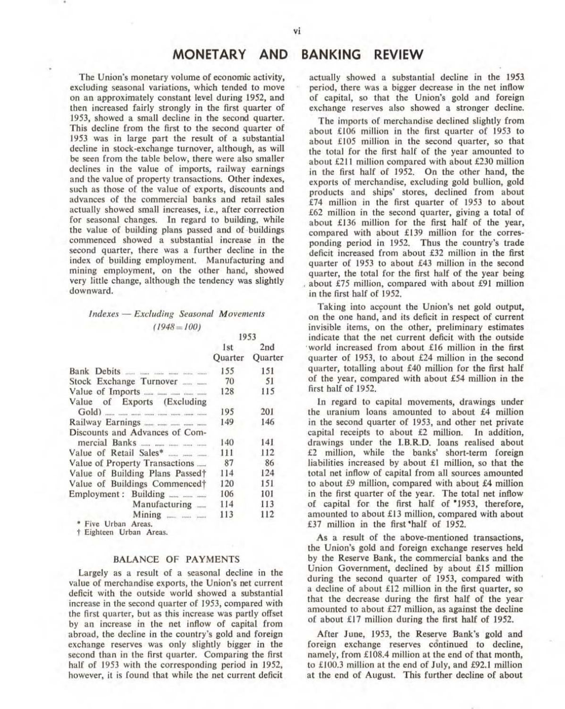#### MONETARY AND BANKING **REVIEW**

The Union's monetary volume of economic activity, excluding seasonal variations, which tended to move on an approximately constant level during 1952, and then increased fairly strongly in the first quarter of 1953, showed a small decline in the second quarter. This decline from the first to the second quarter of 1953 was in large part the result of a substantial decline in stock-exchange turnover, although, as will be seen from the table below, there were also smaller declines in the value of imports, railway earnings and the value of property transactions. Other indexes, such as those of the value of exports, discounts and advances of the commercial banks and retail sales actually showed small increases, i.e., after correction for seasonal changes. In regard to building, while the value of building plans passed and of buildings commenced showed a substantial increase in the second quarter, there was a further decline in the index of building employment. Manufacturing and mining employment, on the other hand, showed very little change, although the tendency was slightly downward.

### Indexes - Excluding Seasonal Movements  $(1948 - 100)$

|  | $1948 = 100$ |  |
|--|--------------|--|
|  |              |  |

1953

|                                 | 1st<br>Ouarter | 2nd<br>Quarter |
|---------------------------------|----------------|----------------|
| Bank Debits                     | 155            | 151            |
| Stock Exchange Turnover         | 70             | 51             |
| Value of Imports                | 128            | 115            |
| Value of Exports (Excluding     |                |                |
|                                 | 195            | 201            |
| Railway Earnings                | 149            | 146            |
| Discounts and Advances of Com-  |                |                |
| mercial Banks                   | 140            | 141            |
|                                 | 111            | 112            |
| Value of Property Transactions  | 87             | 86             |
| Value of Building Plans Passed† | 114            | 124            |
| Value of Buildings Commenced†   | 120            | 151            |
|                                 | 106            | 101            |
| Manufacturing                   | 114            | 113            |
|                                 | 113            | 112            |
| * Five Urban Areas.             |                |                |
| Fighteen Urban Areas            |                |                |

eignteen

## **BALANCE OF PAYMENTS**

Largely as a result of a seasonal decline in the value of merchandise exports, the Union's net current deficit with the outside world showed a substantial increase in the second quarter of 1953, compared with the first quarter, but as this increase was partly offset by an increase in the net inflow of capital from abroad, the decline in the country's gold and foreign exchange reserves was only slightly bigger in the second than in the first quarter. Comparing the first half of 1953 with the corresponding period in 1952, however, it is found that while the net current deficit

actually showed a substantial decline in the 1953. period, there was a bigger decrease in the net inflow of capital, so that the Union's gold and foreign exchange reserves also showed a stronger decline.

The imports of merchandise declined slightly from about £106 million in the first quarter of 1953 to about £105 million in the second quarter, so that the total for the first half of the year amounted to about £211 million compared with about £230 million in the first half of 1952. On the other hand, the exports of merchandise, excluding gold bullion, gold products and ships' stores, declined from about £74 million in the first quarter of 1953 to about £62 million in the second quarter, giving a total of about £136 million for the first half of the year, compared with about £139 million for the corresponding period in 1952. Thus the country's trade deficit increased from about £32 million in the first quarter of 1953 to about £43 million in the second quarter, the total for the first half of the year being about £75 million, compared with about £91 million in the first half of 1952.

Taking into account the Union's net gold output, on the one hand, and its deficit in respect of current invisible items, on the other, preliminary estimates indicate that the net current deficit with the outside world increased from about £16 million in the first quarter of 1953, to about £24 million in the second quarter, totalling about £40 million for the first half of the year, compared with about £54 million in the first half of 1952.

In regard to capital movements, drawings under the uranium loans amounted to about £4 million in the second quarter of 1953, and other net private capital receipts to about £2 million. In addition, drawings under the I.B.R.D. loans realised about £2 million, while the banks' short-term foreign liabilities increased by about £1 million, so that the total net inflow of capital from all sources amounted to about £9 million, compared with about £4 million in the first quarter of the year. The total net inflow of capital for the first half of '1953, therefore, amounted to about £13 million, compared with about £37 million in the first 'half of 1952.

As a result of the above-mentioned transactions, the Union's gold and foreign exchange reserves held by the Reserve Bank, the commercial banks and the Union Government, declined by about £15 million during the second quarter of 1953, compared with a decline of about £12 million in the first quarter, so that the decrease during the first half of the year amounted to about £27 million, as against the decline of about £17 million during the first half of 1952.

After June, 1953, the Reserve Bank's gold and foreign exchange reserves continued to decline, namely, from £108.4 million at the end of that month, to £100.3 million at the end of July, and £92.1 million at the end of August. This further decline of about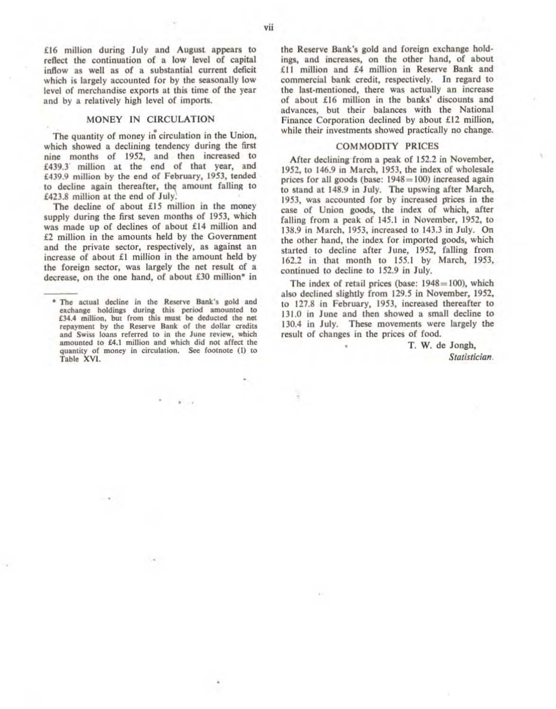£16 million during July and August appears to reflect the continuation of a low level of capital inflow as well as of a substantial current deficit which is largely accounted for by the seasonally low level of merchandise exports at this time of the year and by a relatively high level of imports.

### MONEY IN CIRCULATION

The quantity of money in circulation in the Union, which showed a declining tendency during the first nine months of 1952. and then increased to £439.3 million at the end of that year, and £439.9 million by the end of February, 1953. tended to decline again thereafter, the amount falling to £421.8 million at the end of July.

The decline of about £15 million in the money supply during the first seven months of 1953. which was made up of declines of about £14 million and  $£2$  million in the amounts held by the Government and the private sector, respectively, as against an increase of about £1 million in the amount held by the foreign sector, was largely the net result of a decrease, on the one hand, of about  $£30$  million<sup>\*</sup> in the Reserve Bank's gold and foreign exchange holdings, and increases, on the other hand, of about £11 million and £4 million in Reserve Bank and commercial bank credit, respectively. In regard to the last-mentioned. there was actually an increase of about £16 million in the banks' discounts and advances. but their balances wilh the National Finance Corporation declined by about £12 million, while their investments showed practically no change.

### COMMODITY PRICES

After declining from a peak of 152.2 in November, 1952, to 146.9 in March, 1953, the index of wholesale prices for all goods (base:  $1948 = 100$ ) increased again to stand at 148.9 in July. The upswing after March, 1953, was accounted for by increased prices in the case of Union goods, the index of which, after falling from a peak of 145.1 in November, 1952, to 138.9 in March, 1953, increased to 143.3 in July. On the other hand, the index for imported goods, which started to decline after June, 1952, falling from 162.2 in that month to 155.1 by March, 1953, continued to decline to 152.9 in July.

The index of retail prices (base:  $1948 = 100$ ), which also declined slightly from 129.5 in November, 1952, to 127.8 in February, 1953, increased thereafter to 131.0 in June and then showed a small decline to 130.4 in July. These movements were largely the result of changes in the prices of food.

> T, W, de Jongh, Statistician.

<sup>\*</sup> The actual decline in the Reserve Bank's gold and exchange holdings during this period amounted to £34.4 million, but from this must be deducted the net repayment by the Reserve Bank of the dollar credits and Swiss loans referred to in the June review, which amounted to £4.1 million and which did not affect the quantity of money in circulation. See footnote (1) to Table XVI.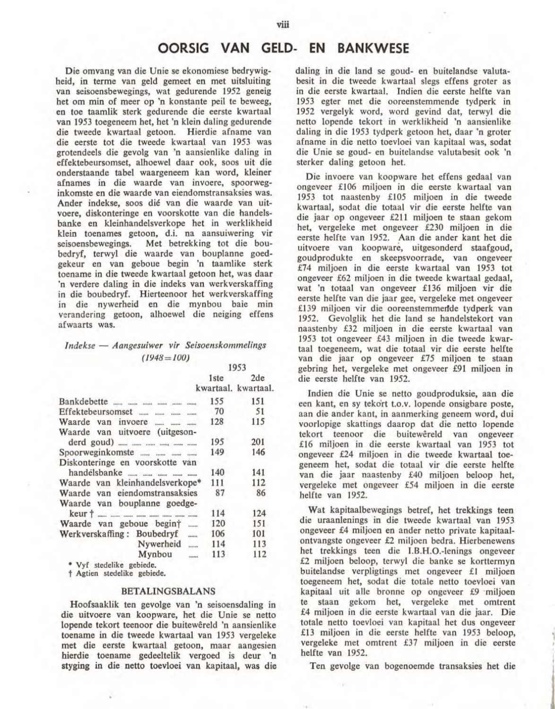# OORSIG VAN GELD. EN BANKWESE

Die omvang van die Unie se ekonomiese bedrywigheid, in terme van geld gemeet en met uitsluiting van seisoensbewegings, wat gedurende 1952 geneig het om min of meer op 'n konstante peil te beweeg. en toe taamlik sterk gedurende die eerste kwartaal van 1953 toegeneem het, het 'n klein dating gedurende die tweede kwartaal getoon. Hierdie afname van die eerste tot die tweede kwartaal van 1953 was grotendeels die gevolg van 'n aansienlike daling in effektebeursomset, alhoewel daar ook, soos uit die onderstaande tabel waargeneem kan word, kleiner afnames in die waarde van invoere, spoorweginkomste en die waarde van eiendomstransaksies was. Ander indekse, soos dié van die waarde van uitvoere, diskonteringe en voorskotte van die handelsbanke en kleinhandelsverkope het in werklikheid klein toenames getoon, d.i. na aansuiwering vir seisoensbewegings. Met betrekking tot die boubedryf, terwyl die waarde van bouplanne goedgekeur en van geboue begin 'n taamlike sterk toename in die tweede kwarlaal getoon bet, was daar 'n verdere daling in die indeks van werkverskaffing in die boubedryf. Hierteenoor het werkverskaffing in die nywerheid en die mynbou baie min verandering getoon, alhoewel die neiging effens afwaarts was.

# Indekse - Aangesuiwer vir Seisoenskommelings  $(1948=100)$

|                                             | 1953             |                            |
|---------------------------------------------|------------------|----------------------------|
|                                             | 1 <sub>ste</sub> | 2de<br>kwartaal, kwartaal. |
| Bankdebette                                 | 155              | 151                        |
| Effektebeursomset                           | 70               | 51                         |
|                                             | 128              | 115                        |
| Waarde van uitvoere (uitgeson-              |                  |                            |
| derd goud)                                  | 195              | 201                        |
| Spoorweginkomste                            | 149              | 146                        |
| Diskonteringe en voorskotte van             |                  |                            |
| handelsbanke                                | 140              | 141                        |
| Waarde van kleinhandelsverkope*             | 111              | 112                        |
| Waarde van eiendomstransaksies              | 87               | 86                         |
| Waarde van bouplanne goedge-                |                  |                            |
|                                             | 114              | 124                        |
| Waarde van geboue begint<br>$\cdots$        | 120              | 151                        |
| Werkverskaffing: Boubedryf<br><b>TENNIS</b> | 106              | 101                        |
| Nywerheid<br>$\cdots$                       | 114              | 113                        |
| Mynbou                                      | 113              | 112                        |
| A REPORT OF A STREET WAS CITED FOR DWOL.    |                  |                            |

Vyf stedelike gebiede. † Agtien stedelike gebiede.

### **BETALINGSBALANS**

Hoofsaaklik ten gevolge van 'n seisoensdaling in die uitvoere van koopware, het die Unie se netto lopende tekort teenoor die buitewêreld 'n aansienlike toename in die tweede kwartaal van 1953 vergeleke met die eerste kwartaal getoon, maar aangesien bierdie loename gedeelteiik vergoed is deur 'n styging in die netto toevloei van kapitaal, was die daling in die land se goud- en buitelandse valutabesit in die tweede kwartaal slegs effens groter as in die eerste kwartaal. Indien die eerste helfte van 1953 egter met die ooreenstemmende tydperk in 1952 vergelyk word, word gevind dat, terwyl die netto lopende tekort in werklikheid 'n aansienlike daling in die 1953 tydperk getoon het, daar 'n groter afname in die netto toevloei van kapitaal was, sodat die Unie se goud- en buiteiandse valutabesit ook 'n sterker daling getoon het.

Die invoere van koopware het effens gedaal van ongeveer £106 miljoen in die eerste kwartaal van 1953 tot naastenby £105 miljoen in die tweede kwartaal. sodat die totaal vir die eerste helfte van die jaar op ongeveer £211 miljoen te staan gekom het, vergeleke met ongeveer £230 miijoen in die eerste helfte van 1952. Aan die ander kant het die uitvoere van koopware, uitgesonderd staafgoud, goudprodukte en skeepsvoorrade, van ongeveer £74 miljoen in die eerste kwartaal van 1953 tot ongeveer £62 miljoen in die tweede kwartaal gedaal, wal 'n totaal van ongeveer £136 miljoen vir die eerste hetfte van die jaar gee, vergeleke met ongeveer £139 miijoen vir die ooreenstemmertde tydperk van \952. Gevolglik het die land se handelstekort van naastenby £32 miljoen in die eerste kwartaal van 1953 tot ongeveer £43 miijoen in die tweede kwartaal toegeneem, wat die totaal vir die eerste helfte van die jaar op ongeveer £75 miljoen te staan gebring het, vergeleke met ongeveer £91 miljoen in die eerste helfte van 1952.

Indieo die Unie se netto goudproduksie, aan die een kant, en sy teko'rt t.O.V. lopende onsigbare poste, aan die ander kant, in aanmerking geneem word, dui voorlopige skattings daarop dat die netto lopende tekort teenoor die buitewêreld van ongeveer £16 miljoen in die eerste kwartaal van 1953 tot ongeveer £24 miijoen in die Iweede kwartaai toegeneem hel, sodat die totaal vir die eerste helfte van die jaar naastenby £40 miijocn beloop het. vergeleke met ongeveer £54 miljocn in die eente helfte van 1952.

Wat kapitaalbewegings betref, het trekkings teen die uraanlenings in die tweede kwartaal van 1953 ongeveer £4 miljoen en ander netto private kapitaalontvangste ongeveer £2 miljoen bedra. Hierbenewens het trekkings teen die 1.B.H.O.-lenings ongeveer £2 miljoen beloop, terwyl die banke se korltermyn buiteiandse verpligtings met ongeveer £1 miljoen toegeneem het, sodat die totale netto toevloei van kapitaal uit alle bronne op ongeveer £9 miljoen te staan gekom het, vergeieke met omlrent £4 miljoen in die eerste kwartaal van die jaar. Die totale netto toevloei van kapitaal het dus ongeveer £13 miljoen in die eerste helfte van 1953 beloop, vergeieke met omlrent £37 miljoen in die eerste helfte van 1952.

Ten gevolge van bogenoemde transaksies het die

**jesterné projekty**